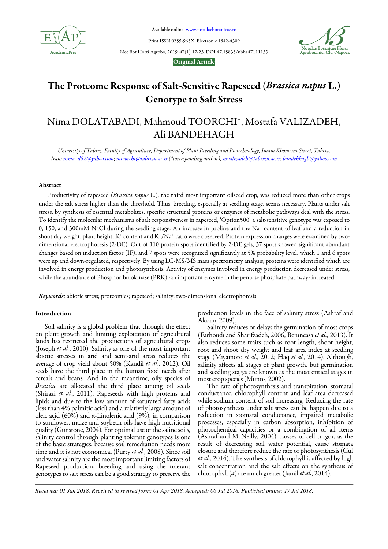

Available online: www.notulaebotanicae.ro

Print ISSN 0255-965X; Electronic 1842-4309



Not Bot Horti Agrobo, 2019, 47(1):17-23. DOI:47.15835/nbha47111133

# Original Article

# The Proteome Response of Salt-Sensitive Rapeseed (Brassica napus L.) Genotype to Salt Stress

# Nima DOLATABADI, Mahmoud TOORCHI\*, Mostafa VALIZADEH, Ali BANDEHAGH

*University of Tabriz, Faculty of Agriculture, Department of Plant Breeding and Biotechnology, Imam Khomeini Street, Tabriz, Iran; nima\_d82@yahoo.com*; *mtoorchi@tabrizu.ac.ir (\*corresponding author); mvalizadeh@tabrizu.ac.ir*; *bandehhagh@yahoo.com*

# Abstract

Productivity of rapeseed (*Brassica napus* L.), the third most important oilseed crop, was reduced more than other crops under the salt stress higher than the threshold. Thus, breeding, especially at seedling stage, seems necessary. Plants under salt stress, by synthesis of essential metabolites, specific structural proteins or enzymes of metabolic pathways deal with the stress. To identify the molecular mechanisms of salt responsiveness in rapeseed, 'Option500' a salt-sensitive genotype was exposed to 0, 150, and 300mM NaCl during the seedling stage. An increase in proline and the Na<sup>+</sup> content of leaf and a reduction in shoot dry weight, plant height, K† content and K\*/Na† ratio were observed. Protein expression changes were examined by twodimensional electrophoresis (2-DE). Out of 110 protein spots identified by 2-DE gels, 37 spots showed significant abundant changes based on induction factor (IF), and 7 spots were recognized significantly at 5% probability level, which 1 and 6 spots were up and down-regulated, respectively. By using LC-MS/MS mass spectrometry analysis, proteins were identified which are involved in energy production and photosynthesis. Activity of enzymes involved in energy production decreased under stress, while the abundance of Phosphoribulokinase (PRK) -an important enzyme in the pentose phosphate pathway- increased.

Keywords: abiotic stress; proteomics; rapeseed; salinity; two-dimensional electrophoresis

# Introduction

Soil salinity is a global problem that through the effect on plant growth and limiting exploitation of agricultural lands has restricted the productions of agricultural crops (Joseph *et al.*, 2010). Salinity as one of the most important abiotic stresses in arid and semi-arid areas reduces the average of crop yield about 50% (Kandil *et al.*, 2012). Oil seeds have the third place in the human food needs after cereals and beans. And in the meantime, oily species of *Brassica* are allocated the third place among oil seeds (Shirazi *et al.*, 2011). Rapeseeds with high proteins and lipids and due to the low amount of saturated fatty acids (less than 4% palmitic acid) and a relatively large amount of oleic acid (60%) and α-Linolenic acid (9%), in comparison to sunflower, maize and soybean oils have high nutritional quality (Gunstone, 2004). For optimal use of the saline soils, salinity control through planting tolerant genotypes is one of the basic strategies, because soil remediation needs more time and it is not economical (Purty *et al.*, 2008). Since soil and water salinity are the most important limiting factors of Rapeseed production, breeding and using the tolerant genotypes to salt stress can be a good strategy to preserve the production levels in the face of salinity stress (Ashraf and Akram, 2009).

Salinity reduces or delays the germination of most crops (Farhoudi and Sharifzadeh, 2006; Benincasa *et al.*, 2013). It also reduces some traits such as root length, shoot height, root and shoot dry weight and leaf area index at seedling stage (Miyamoto *et al.*, 2012; Haq *et al.*, 2014). Although, salinity affects all stages of plant growth, but germination and seedling stages are known as the most critical stages in most crop species (Munns, 2002).

The rate of photosynthesis and transpiration, stomatal conductance, chlorophyll content and leaf area decreased while sodium content of soil increasing. Reducing the rate of photosynthesis under salt stress can be happen due to a reduction in stomatal conductance, impaired metabolic processes, especially in carbon absorption, inhibition of photochemical capacities or a combination of all items (Ashraf and McNeilly, 2004). Losses of cell turgor, as the result of decreasing soil water potential, cause stomata closure and therefore reduce the rate of photosynthesis (Gul *et al.*, 2014). The synthesis of chlorophyll is affected by high salt concentration and the salt effects on the synthesis of chlorophyll (*a*) are much greater (Jamil *et al.*, 2014).

*Received: 01 Jan 2018. Received in revised form: 01 Apr 2018. Accepted: 06 Jul 2018. Published online: 17 Jul 2018.*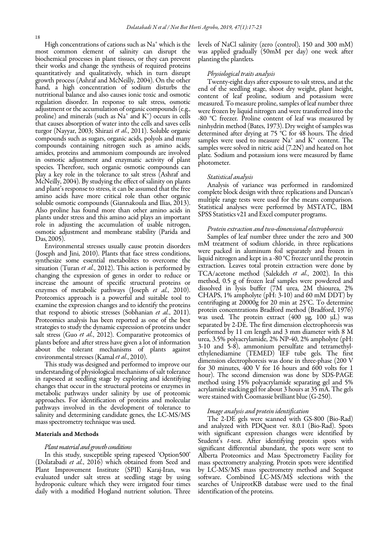High concentrations of cations such as Na<sup>+</sup> which is the most common element of salinity can disrupt the biochemical processes in plant tissues, or they can prevent their works and change the synthesis of required proteins quantitatively and qualitatively, which in turn disrupt growth process (Ashraf and McNeilly, 2004). On the other hand, a high concentration of sodium disturbs the nutritional balance and also causes ionic toxic and osmotic regulation disorder. In response to salt stress, osmotic adjustment or the accumulation of organic compounds (e.g., proline) and minerals (such as  $\mathrm{Na^+}$  and  $\mathrm{K^+}$ ) occurs in cells that causes absorption of water into the cells and saves cells turgor (Nayyar, 2003; Shirazi *et al.*, 2011). Soluble organic compounds such as sugars, organic acids, polyols and many compounds containing nitrogen such as amino acids, amides, proteins and ammonium compounds are involved in osmotic adjustment and enzymatic activity of plant species. Therefore, such organic osmotic compounds can play a key role in the tolerance to salt stress (Ashraf and McNeilly, 2004). By studying the effect of salinity on plants and plant's response to stress, it can be assumed that the free amino acids have more critical role than other organic soluble osmotic compounds (Giannakoula and Ilias, 2013). Also proline has found more than other amino acids in plants under stress and this amino acid plays an important role in adjusting the accumulation of usable nitrogen, osmotic adjustment and membrane stability (Parida and Das, 2005).

Environmental stresses usually cause protein disorders (Joseph and Jini, 2010). Plants that face stress conditions, synthesize some essential metabolites to overcome the situation (Turan *et al.*, 2012). This action is performed by changing the expression of genes in order to reduce or increase the amount of specific structural proteins or enzymes of metabolic pathways (Joseph *et al.*, 2010). Proteomics approach is a powerful and suitable tool to examine the expression changes and to identify the proteins that respond to abiotic stresses (Sobhanian *et al.*, 2011). Proteomics analysis has been reported as one of the best strategies to study the dynamic expression of proteins under salt stress (Guo *et al.*, 2012). Comparative proteomics of plants before and after stress have given a lot of information about the tolerant mechanisms of plants against environmental stresses (Kamal *et al.*, 2010).

This study was designed and performed to improve our understanding of physiological mechanisms of salt tolerance in rapeseed at seedling stage by exploring and identifying changes that occur in the structural proteins or enzymes in metabolic pathways under salinity by use of proteomic approaches. For identification of proteins and molecular pathways involved in the development of tolerance to salinity and determining candidate genes, the LC-MS/MS mass spectrometry technique was used.

# Materials and Methods

# *Plant material and growth conditions*

In this study, susceptible spring rapeseed 'Option500' (Dolatabadi *et al.*, 2016) which obtained from Seed and Plant Improvement Institute (SPII) Karaj-Iran, was evaluated under salt stress at seedling stage by using hydroponic culture which they were irrigated four times daily with a modified Hogland nutrient solution. Three levels of NaCl salinity (zero (control), 150 and 300 mM) was applied gradually (50mM per day) one week after planting the plantlets*.* 

# *Physiological traits analysis*

Twenty-eight days after exposure to salt stress, and at the end of the seedling stage, shoot dry weight, plant height, content of leaf proline, sodium and potassium were measured*.* To measure proline, samples of leaf number three were frozen by liquid nitrogen and were transferred into the -80 °C freezer*.* Proline content of leaf was measured by ninhydrin method (Bates, 1973). Dry weight of samples was determined after drying at 75 °C for 48 hours. The dried samples were used to measure  $Na^+$  and  $K^+$  content. The samples were solved in nitric acid (7.2N) and heated on hot plate*.* Sodium and potassium ions were measured by flame photometer.

#### *Statistical analysis*

Analysis of variance was performed in randomized complete block design with three replications and Duncan's multiple range tests were used for the means comparison*.* Statistical analyses were performed by MSTATC, IBM SPSS Statistics v21 and Excel computer programs.

## *Protein extraction and two-dimensional electrophoresis*

Samples of leaf number three under the zero and 300 mM treatment of sodium chloride, in three replications were packed in aluminum foil separately and frozen in liquid nitrogen and kept in a -80 °C freezer until the protein extraction*.* Leaves total protein extraction were done by TCA/acetone method (Salekdeh *et al.*, 2002). In this method, 0.5 g of frozen leaf samples were powdered and dissolved in lysis buffer (7M urea, 2M thiourea, 2% CHAPS, 1% ampholyte (pH: 3-10) and 60 mM DDT) by centrifuging at 20000g for 20 min at 25°C. To determine protein concentrations Bradford method (Bradford, 1976) was used*.* The protein extract (400 µg, 100 µL) was separated by 2-DE. The first dimension electrophoresis was performed by 11 cm length and 3 mm diameter with 8 M urea, 3.5% polyacrylamide, 2% NP-40, 2% ampholyte (pH: 3-10 and 5-8), ammonium persulfate and tetramethylethylenediamine (TEMED) IEF tube gels. The first dimension electrophoresis was done in three-phase (200 V for 30 minutes, 400 V for 16 hours and 600 volts for 1 hour). The second dimension was done by SDS-PAGE method using 15% polyacrylamide separating gel and 5% acrylamide stacking gel for about 3 hours at 35 mA. The gels were stained with Coomassie brilliant blue (G-250).

# *Image analysis and protein identification*

The 2-DE gels were scanned with GS-800 (Bio-Rad) and analyzed with PDQuest ver. 8.0.1 (Bio-Rad). Spots with significant expression changes were identified by Student's *t*-test. After identifying protein spots with significant differential abundant, the spots were sent to Alberta Proteomics and Mass Spectrometry Facility for mass spectrometry analyzing. Protein spots were identified by LC-MS/MS mass spectrometry method and Sequest software. Combined LC-MS/MS selections with the searches of UniprotKB database were used to the final identification of the proteins.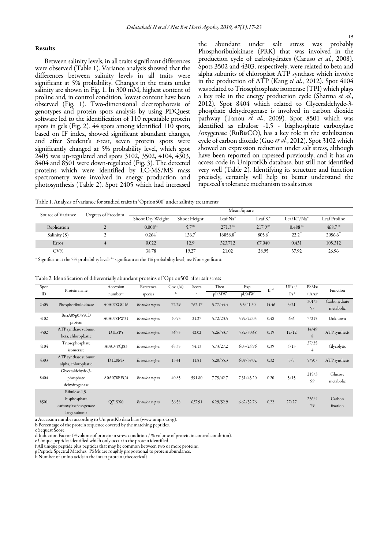# Results

Between salinity levels, in all traits significant differences were observed (Table 1). Variance analysis showed that the differences between salinity levels in all traits were significant at 5% probability. Changes in the traits under salinity are shown in Fig. 1. In 300 mM, highest content of proline and, in control condition, lowest content have been observed (Fig. 1). Two-dimensional electrophoresis of genotypes and protein spots analysis by using PDQuest software led to the identification of 110 repeatable protein spots in gels (Fig. 2)*.* 44 spots among identified 110 spots, based on IF index, showed significant abundant changes, and after Student's *t*-test, seven protein spots were significantly changed at 5% probability level, which spot 2405 was up-regulated and spots 3102, 3502, 4104, 4303, 8404 and 8501 were down-regulated (Fig. 3). The detected proteins which were identified by LC-MS/MS mass spectrometry were involved in energy production and photosynthesis (Table 2). Spot 2405 which had increased the abundant under salt stress was probably Phosphoribulokinase (PRK) that was involved in the production cycle of carbohydrates (Caruso *et al.*, 2008). Spots 3502 and 4303, respectively, were related to beta and alpha subunits of chloroplast ATP synthase which involve in the production of ATP (Kang *et al.*, 2012). Spot 4104 was related to Triosephosphate isomerase (TPI) which plays a key role in the energy production cycle (Sharma *et al.*, 2012). Spot 8404 which related to Glyceraldehyde-3 phosphate dehydrogenase is involved in carbon dioxide pathway (Tanou *et al.*, 2009). Spot 8501 which was identified as ribulose -1,5 - bisphosphate carboxylase /oxygenase (RuBisCO), has a key role in the stabilization cycle of carbon dioxide (Guo *et al.*, 2012). Spot 3102 which showed an expression reduction under salt stress, although have been reported on rapeseed previously, and it has an access code in UniprotKb database, but still not identified very well (Table 2). Identifying its structure and function precisely, certainly will help to better understand the rapeseed's tolerance mechanism to salt stress

Table 1. Analysis of variance for studied traits in 'Option500' under salinity treatments

| Source of Variance | Degrees of Freedom | Mean Square         |                   |                     |              |                     |              |  |  |
|--------------------|--------------------|---------------------|-------------------|---------------------|--------------|---------------------|--------------|--|--|
|                    |                    | Shoot Dry Weight    | Shoot Height      | $LeafNa^+$          | Leaf K*      | Leaf $K^*/Na^*$     | Leaf Proline |  |  |
| Replication        |                    | 0.008 <sup>ns</sup> | 5.7 <sup>ns</sup> | 271.3 <sup>ns</sup> | $217.9^{ns}$ | 0.488 <sup>ns</sup> | $468.7^{ns}$ |  |  |
| Salinity $(S)$     |                    | 0.264               | 136.7             | 16856.8             | 805.6        | $22.2$ <sup>"</sup> | 2056.6       |  |  |
| Error              | 4                  | 0.022               | 12.9              | 323.712             | 67.040       | 0.431               | 105.312      |  |  |
| $CV\%$             |                    | 38.78               | 19.27             | 21.02               | 28.95        | 37.92               | 26.96        |  |  |

\* Significant at the 5% probability level; \*\* significant at the 1% probability level; ns: Not significant.

| Table 2. Identification of differentially abundant proteins of 'Option500' after salt stress |  |  |
|----------------------------------------------------------------------------------------------|--|--|
|----------------------------------------------------------------------------------------------|--|--|

| Spot<br>ID | Protein name                                                            | Accession<br>number <sup>a</sup> | Reference<br>species | Cov. (%) | Score<br>c. | Theo.<br>pI/MW | Exp.<br>pI/MW | IF <sup>d</sup> | $UPs^c/$<br>Ps <sup>f</sup> | <b>PSMs<sup>8</sup></b><br>/ AAs <sup>h</sup> | Function                  |
|------------|-------------------------------------------------------------------------|----------------------------------|----------------------|----------|-------------|----------------|---------------|-----------------|-----------------------------|-----------------------------------------------|---------------------------|
| 2405       | Phosphoribulokinase                                                     | A0A078GC16                       | Brassica napus       | 72.29    | 762.17      | 5.77/44.4      | 5.5/41.30     | 14.46           | 3/21                        | 301/3<br>97                                   | Carbohydrate<br>metabolic |
| 3102       | BnaA09g07850D<br>protein                                                | A0A078FW31                       | Brassica napus       | 40.93    | 21.27       | 5.72/23.5      | 5.92/22.05    | 0.48            | 6/6                         | 7/215                                         | Unknown                   |
| 3502       | ATP synthase subunit<br>beta, chloroplastic                             | D1L8P5                           | Brassica napus       | 36.75    | 42.02       | 5.26/53.7      | 5.82/50.68    | 0.19            | 12/12                       | 14/49<br>8                                    | ATP synthesis             |
| 4104       | Triosephosphate<br>isomerase                                            | A0A078CJ83                       | Brassica napus       | 65.35    | 94.13       | 5.73/27.2      | 6.03/24.96    | 0.39            | 4/13                        | 37/25<br>4                                    | Glycolytic                |
| 4303       | ATP synthase subunit<br>alpha, chloroplastic                            | D1L8M3                           | Brassica napus       | 13.41    | 11.81       | 5.20/55.3      | 6.08/38.02    | 0.32            | 5/5                         | 5/507                                         | ATP synthesis             |
| 8404       | Glyceraldehyde-3-<br>phosphate<br>dehydrogenase                         | A0A078EFC4                       | Brassica napus       | 40.85    | 591.80      | 7.75/42.7      | 7.31/43.20    | 0.20            | 5/15                        | 215/3<br>99                                   | Glucose<br>metabolic      |
| 8501       | Ribulose-1,5-<br>bisphosphate<br>carboxylase/oxygenase<br>large subunit | Q71SX0                           | Brassica napus       | 56.58    | 637.91      | 6.29/52.9      | 6.62/52.76    | 0.22            | 27/27                       | 236/4<br>79                                   | Carbon<br>fixation        |

a Accession number according to UniprotKb data base (www.uniprot.org).

b Percentage of the protein sequence covered by the matching peptides.

d Induction Factor (%volume of protein in stress condition / % volume of protein in control condition).

e Unique peptides identified which only occur in the protein identified.

f All unique peptide plus peptides that may be common between two or more proteins.

g Peptide Spectral Matches. PSMs are roughly proportional to protein abundance.

h Number of amino acids in the intact protein (theoretical).

c Sequest Score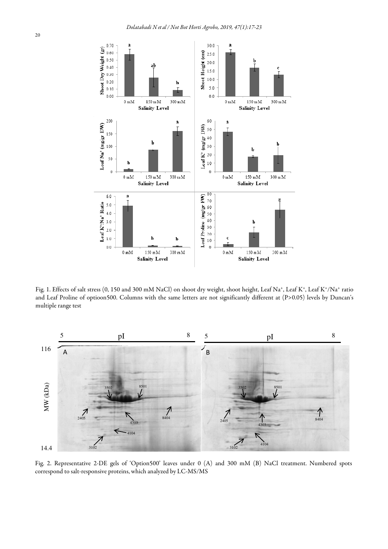

Fig. 1. Effects of salt stress (0, 150 and 300 mM NaCl) on shoot dry weight, shoot height, Leaf Na+, Leaf K+, Leaf K+/Na+ ratio and Leaf Proline of optioon500. Columns with the same letters are not significantly different at (P>0.05) levels by Duncan's multiple range test



Fig. 2. Representative 2-DE gels of 'Option500' leaves under 0 (A) and 300 mM (B) NaCl treatment. Numbered spots correspond to salt-responsive proteins, which analyzed by LC-MS/MS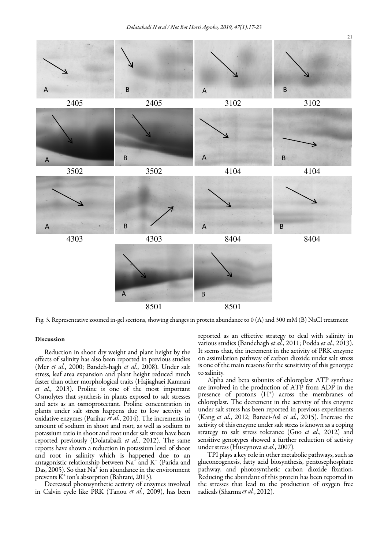

Fig. 3. Representative zoomed in-gel sections, showing changes in protein abundance to 0 (A) and 300 mM (B) NaCl treatment

### Discussion

Reduction in shoot dry weight and plant height by the effects of salinity has also been reported in previous studies (Mer *et al.*, 2000; Bandeh-hagh *et al.*, 2008). Under salt stress, leaf area expansion and plant height reduced much faster than other morphological traits (Hajiaghaei Kamrani *et al.*, 2013). Proline is one of the most important Osmolytes that synthesis in plants exposed to salt stresses and acts as an osmoprotectant. Proline concentration in plants under salt stress happens due to low activity of oxidative enzymes (Parihar *et al.*, 2014). The increments in amount of sodium in shoot and root, as well as sodium to potassium ratio in shoot and root under salt stress have been reported previously (Dolatabadi *et al.*, 2012). The same reports have shown a reduction in potassium level of shoot and root in salinity which is happened due to an antagonistic relationship between  $\mathrm{Na}^4$  and  $\mathrm{K}^+$  (Parida and Das, 2005). So that  $\text{Na}^4$  ion abundance in the environment prevents K<sup>+</sup> ion's absorption (Bahrani, 2013).

Decreased photosynthetic activity of enzymes involved in Calvin cycle like PRK (Tanou *et al.*, 2009), has been reported as an effective strategy to deal with salinity in various studies (Bandehagh *et al.*, 2011; Podda *et al.*, 2013). It seems that, the increment in the activity of PRK enzyme on assimilation pathway of carbon dioxide under salt stress is one of the main reasons for the sensitivity of this genotype to salinity*.*

Alpha and beta subunits of chloroplast ATP synthase are involved in the production of ATP from ADP in the presence of protons (H<sup>+</sup>) across the membranes of chloroplast*.* The decrement in the activity of this enzyme under salt stress has been reported in previous experiments (Kang *et al.*, 2012; Banaei-Asl *et al.*, 2015). Increase the activity of this enzyme under salt stress is known as a coping strategy to salt stress tolerance (Guo *et al.*, 2012) and sensitive genotypes showed a further reduction of activity under stress (Huseynova *et al.*, 2007).

TPI plays a key role in other metabolic pathways, such as gluconeogenesis, fatty acid biosynthesis, pentosephosphate pathway, and photosynthetic carbon dioxide fixation*.* Reducing the abundant of this protein has been reported in the stresses that lead to the production of oxygen free radicals (Sharma *et al.*, 2012).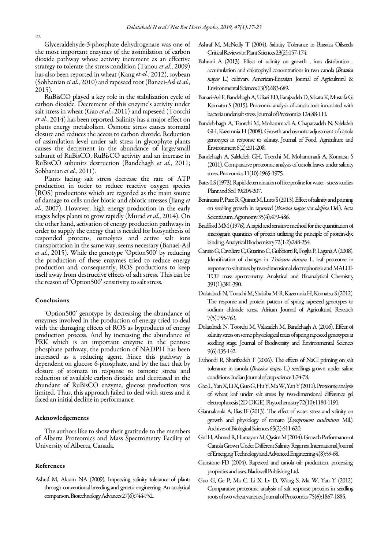Glyceraldehyde-3-phosphate dehydrogenase was one of the most important enzymes of the assimilation of carbon dioxide pathway whose activity increment as an effective strategy to tolerate the stress condition (Tanou *et al.*, 2009) has also been reported in wheat (Kang *et al.*, 2012), soybean (Sobhanian *et al.*, 2010) and rapeseed root (Banaei-Asl *et al.*, 2015).

RuBisCO played a key role in the stabilization cycle of carbon dioxide. Decrement of this enzyme's activity under salt stress in wheat (Gao *et al*., 2011) and rapeseed (Toorchi *et al.*, 2014) has been reported. Salinity has a major effect on plants energy metabolism. Osmotic stress causes stomatal closure and reduces the access to carbon dioxide. Reduction of assimilation level under salt stress in glycophyte plants causes the decrement in the abundance of large/small subunit of RuBisCO, RuBisCO activity and an increase in RuBisCO subunits destruction (Bandehagh *et al.*, 2011; Sobhanian *et al.*, 2011).

Plants facing salt stress decrease the rate of ATP production in order to reduce reactive oxygen species (ROS) productions which are regarded as the main source of damage to cells under biotic and abiotic stresses (Jiang *et al.*, 2007). However, high energy production in the early stages helps plants to grow rapidly (Murad *et al.*, 2014). On the other hand, activation of energy production pathways in order to supply the energy that is needed for biosynthesis of responded proteins, osmolytes and active salt ions transportation in the same way, seems necessary (Banaei-Asl *et al.*, 2015). While the genotype 'Option500' by reducing the production of these enzymes tried to reduce energy production and, consequently, ROS productions to keep itself away from destructive effects of salt stress. This can be the reason of 'Option500' sensitivity to salt stress.

# Conclusions

'Option500' genotype by decreasing the abundance of enzymes involved in the production of energy tried to deal with the damaging effects of ROS as byproducts of energy production process. And by increasing the abundance of PRK which is an important enzyme in the pentose phosphate pathway, the production of NADPH has been increased as a reducing agent. Since this pathway is dependent on glucose 6-phosphate, and by the fact that by closure of stomata in response to osmotic stress and reduction of available carbon dioxide and decreased in the abundant of RuBisCO enzyme, glucose production was limited. Thus, this approach failed to deal with stress and it faced an initial decline in performance.

#### Acknowledgements

The authors like to show their gratitude to the members of Alberta Proteomics and Mass Spectrometry Facility of University of Alberta, Canada.

# References

Ashraf M, Akram NA (2009). Improving salinity tolerance of plants through conventional breeding and genetic engineering: An analytical comparison. Biotechnology Advances 27(6):744-752.

- Ashraf M, McNeilly T (2004). Salinity Tolerance in Brassica Oilseeds. Critical Reviews in Plant Sciences 23(2):157-174.
- Bahrani A (2013). Effect of salinity on growth , ions distribution , accumulation and chlorophyll concentrations in two canola (*Brassica napus* L.) cultivars. American-Eurasian Journal of Agricultural & Environmental Sciences 13(5):683-689*.*
- Banaei-Asl F, Bandehagh A, Uliaei ED, Farajzadeh D, Sakata K, Mustafa G, Komatsu S (2015). Proteomic analysis of canola root inoculated with bacteria under salt stress. Journal of Proteomics 124:88-111*.*
- Bandeh-hagh A, Toorchi M, Mohammadi A, Chaparzadeh N, Salekdeh GH, Kazemnia H (2008). Growth and osmotic adjustment of canola genotypes in response to salinity. Journal of Food, Agriculture and Environment 6(2):201-208.
- Bandehagh A, Salekdeh GH, Toorchi M, Mohammadi A, Komatsu S (2011). Comparative proteomic analysis of canola leaves under salinity stress. Proteomics 11(10):1965-1975*.*
- Bates LS (1973). Rapid determination of free proline for water stress studies. Plant and Soil 39:205-207.
- Benincasa P, Pace R, Quinet M, Lutts S (2013). Effect of salinity and priming on seedling growth in rapeseed (*Brassica napus* var *oleifera* Del.). Acta Scientiarum. Agronomy 35(4):479-486.
- Bradford MM (1976). A rapid and sensitive method for the quantitation of microgram quantities of protein utilizing the principle of protein-dye binding. Analytical Biochemistry 72(1-2):248-254.
- Caruso G, Cavaliere C, Guarino C, Gubbiotti R, Foglia P, Laganà A (2008). Identification of changes in *Triticum durum* L. leaf proteome in response to salt stress by two-dimensional electrophoresis and MALDI-TOF mass spectrometry. Analytical and Bioanalytical Chemistry 391(1):381-390.
- Dolatabadi N, Toorchi M, Shakiba M-R, Kazemnia H, Komatsu S (2012). The response and protein pattern of spring rapeseed genotypes to sodium chloride stress. African Journal of Agricultural Research 7(5):755-763.
- Dolatabadi N, Toorchi M, Valizadeh M, Bandehagh A (2016). Effect of salinity stress on some physiological traits of spring rapeseed genotypes at seedling stage. Journal of Biodiversity and Environmental Sciences 9(6):135-142.
- Farhoudi R, Sharifzadeh F (2006). The effects of NaCl priming on salt tolerance in canola (*Brassica napus* L.) seedlings grown under saline conditions. Indian Journal of crop science 1:74-78.
- Gao L, Yan X, Li X, Guo G, Hu Y, Ma W, Yan Y (2011). Proteome analysis of wheat leaf under salt stress by two-dimensional difference gel electrophoresis (2D-DIGE). Phytochemistry 72(10):1180-1191.
- Giannakoula A, Ilias IF (2013). The effect of water stress and salinity on growth and physiology of tomato (*Lycopersicon esculentum* Mil.). Archives of Biological Sciences 65(2):611-620.
- Gul H, Ahmed R, Hamayun M, Qasim M (2014). Growth Performance of Canola Grown Under Different Salinity Regimes. International Journal of Emerging Technology and Advanced Engineering 4(8):59-68.
- Gunstone FD (2004). Rapeseed and canola oil: production, processing, properties and uses. Blackwell Publishing Ltd*.*
- Guo G, Ge P, Ma C, Li X, Lv D, Wang S, Ma W, Yan Y (2012). Comparative proteomic analysis of salt response proteins in seedling roots of two wheat varieties. Journal of Proteomics 75(6):1867-1885.